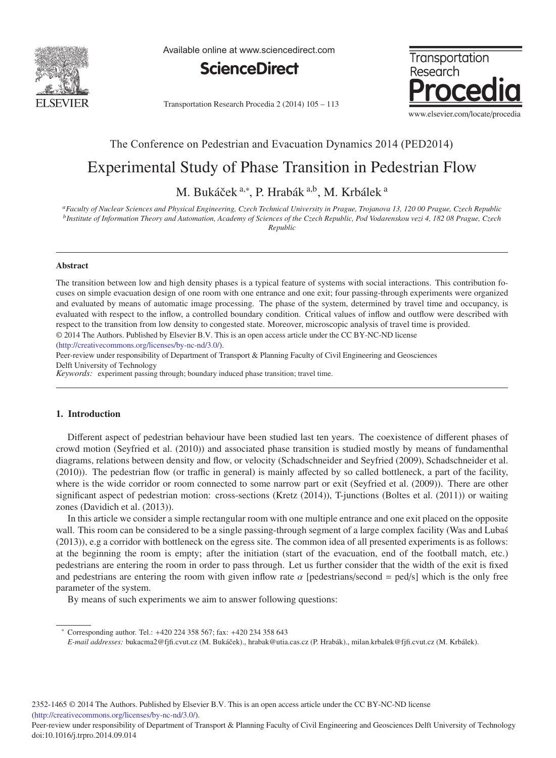

Available online at www.sciencedirect.com





Transportation Research Procedia 2 (2014) 105 - 113

## The Conference on Pedestrian and Evacuation Dynamics 2014 (PED2014)

# Experimental Study of Phase Transition in Pedestrian Flow

M. Bukáček <sup>a,∗</sup>, P. Hrabák <sup>a,b</sup>, M. Krbálek <sup>a</sup>

*aFaculty of Nuclear Sciences and Physical Engineering, Czech Technical University in Prague, Trojanova 13, 120 00 Prague, Czech Republic bInstitute of Information Theory and Automation, Academy of Sciences of the Czech Republic, Pod Vodarenskou vezi 4, 182 08 Prague, Czech Republic*

### Abstract

The transition between low and high density phases is a typical feature of systems with social interactions. This contribution focuses on simple evacuation design of one room with one entrance and one exit; four passing-through experiments were organized and evaluated by means of automatic image processing. The phase of the system, determined by travel time and occupancy, is evaluated with respect to the inflow, a controlled boundary condition. Critical values of inflow and outflow were described with respect to the transition from low density to congested state. Moreover, microscopic analysis of travel time is provided. © 2014 The Authors. Published by Elsevier B.V. This is an open access article under the CC BY-NC-ND license

(http://creativecommons.org/licenses/by-nc-nd/3.0/).

Peer-review under responsibility of Department of Transport & Planning Faculty of Civil Engineering and Geosciences Delft University of Technology

*Keywords:* experiment passing through; boundary induced phase transition; travel time.

## 1. Introduction

Different aspect of pedestrian behaviour have been studied last ten years. The coexistence of different phases of crowd motion (Seyfried et al. (2010)) and associated phase transition is studied mostly by means of fundamenthal diagrams, relations between density and flow, or velocity (Schadschneider and Seyfried (2009), Schadschneider et al. (2010)). The pedestrian flow (or traffic in general) is mainly affected by so called bottleneck, a part of the facility, where is the wide corridor or room connected to some narrow part or exit (Seyfried et al. (2009)). There are other significant aspect of pedestrian motion: cross-sections (Kretz (2014)), T-junctions (Boltes et al. (2011)) or waiting zones (Davidich et al. (2013)).

In this article we consider a simple rectangular room with one multiple entrance and one exit placed on the opposite wall. This room can be considered to be a single passing-through segment of a large complex facility (Was and Lubas) (2013)), e.g a corridor with bottleneck on the egress site. The common idea of all presented experiments is as follows: at the beginning the room is empty; after the initiation (start of the evacuation, end of the football match, etc.) pedestrians are entering the room in order to pass through. Let us further consider that the width of the exit is fixed and pedestrians are entering the room with given inflow rate  $\alpha$  [pedestrians/second = ped/s] which is the only free parameter of the system.

By means of such experiments we aim to answer following questions:

<sup>∗</sup> Corresponding author. Tel.: +420 224 358 567; fax: +420 234 358 643

*E-mail addresses:* bukacma2@fjfi.cvut.cz (M. Bukáček)., hrabak@utia.cas.cz (P. Hrabák)., milan.krbalek@fjfi.cvut.cz (M. Krbálek).

Peer-review under responsibility of Department of Transport & Planning Faculty of Civil Engineering and Geosciences Delft University of Technology doi: 10.1016/j.trpro.2014.09.014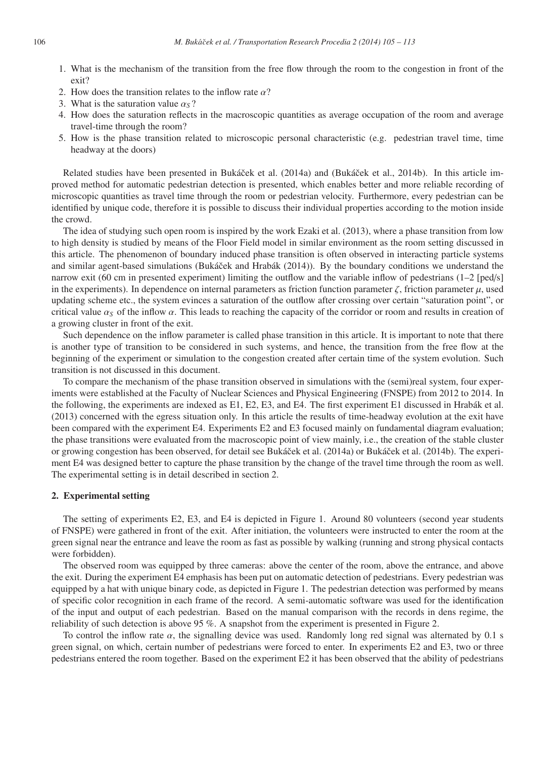- 1. What is the mechanism of the transition from the free flow through the room to the congestion in front of the exit?
- 2. How does the transition relates to the inflow rate  $\alpha$ ?
- 3. What is the saturation value  $\alpha_s$ ?
- 4. How does the saturation reflects in the macroscopic quantities as average occupation of the room and average travel-time through the room?
- 5. How is the phase transition related to microscopic personal characteristic (e.g. pedestrian travel time, time headway at the doors)

Related studies have been presented in Bukáček et al. (2014a) and (Bukáček et al., 2014b). In this article improved method for automatic pedestrian detection is presented, which enables better and more reliable recording of microscopic quantities as travel time through the room or pedestrian velocity. Furthermore, every pedestrian can be identified by unique code, therefore it is possible to discuss their individual properties according to the motion inside the crowd.

The idea of studying such open room is inspired by the work Ezaki et al. (2013), where a phase transition from low to high density is studied by means of the Floor Field model in similar environment as the room setting discussed in this article. The phenomenon of boundary induced phase transition is often observed in interacting particle systems and similar agent-based simulations (Bukáček and Hrabák (2014)). By the boundary conditions we understand the narrow exit (60 cm in presented experiment) limiting the outflow and the variable inflow of pedestrians (1–2 [ped/s] in the experiments). In dependence on internal parameters as friction function parameter  $\zeta$ , friction parameter  $\mu$ , used updating scheme etc., the system evinces a saturation of the outflow after crossing over certain "saturation point", or critical value  $\alpha_s$  of the inflow  $\alpha$ . This leads to reaching the capacity of the corridor or room and results in creation of a growing cluster in front of the exit.

Such dependence on the inflow parameter is called phase transition in this article. It is important to note that there is another type of transition to be considered in such systems, and hence, the transition from the free flow at the beginning of the experiment or simulation to the congestion created after certain time of the system evolution. Such transition is not discussed in this document.

To compare the mechanism of the phase transition observed in simulations with the (semi)real system, four experiments were established at the Faculty of Nuclear Sciences and Physical Engineering (FNSPE) from 2012 to 2014. In the following, the experiments are indexed as  $E1$ ,  $E2$ ,  $E3$ , and  $E4$ . The first experiment  $E1$  discussed in Hrabák et al. (2013) concerned with the egress situation only. In this article the results of time-headway evolution at the exit have been compared with the experiment E4. Experiments E2 and E3 focused mainly on fundamental diagram evaluation; the phase transitions were evaluated from the macroscopic point of view mainly, i.e., the creation of the stable cluster or growing congestion has been observed, for detail see Bukáček et al. (2014a) or Bukáček et al. (2014b). The experiment E4 was designed better to capture the phase transition by the change of the travel time through the room as well. The experimental setting is in detail described in section 2.

## 2. Experimental setting

The setting of experiments E2, E3, and E4 is depicted in Figure 1. Around 80 volunteers (second year students of FNSPE) were gathered in front of the exit. After initiation, the volunteers were instructed to enter the room at the green signal near the entrance and leave the room as fast as possible by walking (running and strong physical contacts were forbidden).

The observed room was equipped by three cameras: above the center of the room, above the entrance, and above the exit. During the experiment E4 emphasis has been put on automatic detection of pedestrians. Every pedestrian was equipped by a hat with unique binary code, as depicted in Figure 1. The pedestrian detection was performed by means of specific color recognition in each frame of the record. A semi-automatic software was used for the identification of the input and output of each pedestrian. Based on the manual comparison with the records in dens regime, the reliability of such detection is above 95 %. A snapshot from the experiment is presented in Figure 2.

To control the inflow rate  $\alpha$ , the signalling device was used. Randomly long red signal was alternated by 0.1 s green signal, on which, certain number of pedestrians were forced to enter. In experiments E2 and E3, two or three pedestrians entered the room together. Based on the experiment E2 it has been observed that the ability of pedestrians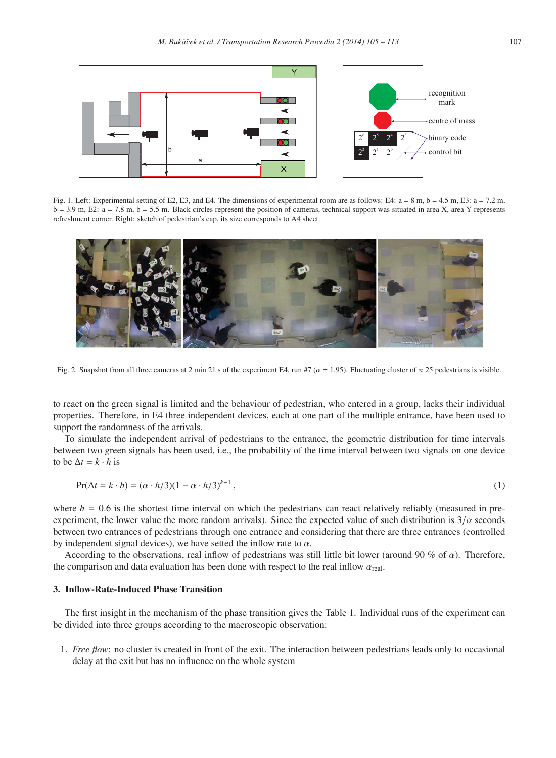

Fig. 1. Left: Experimental setting of E2, E3, and E4. The dimensions of experimental room are as follows: E4:  $a = 8$  m,  $b = 4.5$  m, E3:  $a = 7.2$  m.  $b = 3.9$  m, E2:  $a = 7.8$  m,  $b = 5.5$  m. Black circles represent the position of cameras, technical support was situated in area X, area Y represents refreshment corner. Right: sketch of pedestrian's cap, its size corresponds to A4 sheet.



Fig. 2. Snapshot from all three cameras at 2 min 21 s of the experiment E4, run #7 ( $\alpha$  = 1.95). Fluctuating cluster of  $\approx$  25 pedestrians is visible.

to react on the green signal is limited and the behaviour of pedestrian, who entered in a group, lacks their individual properties. Therefore, in E4 three independent devices, each at one part of the multiple entrance, have been used to support the randomness of the arrivals.

To simulate the independent arrival of pedestrians to the entrance, the geometric distribution for time intervals between two green signals has been used, i.e., the probability of the time interval between two signals on one device to be  $\Delta t = k \cdot h$  is

$$
\Pr(\Delta t = k \cdot h) = (\alpha \cdot h/3)(1 - \alpha \cdot h/3)^{k-1},\tag{1}
$$

where  $h = 0.6$  is the shortest time interval on which the pedestrians can react relatively reliably (measured in preexperiment, the lower value the more random arrivals). Since the expected value of such distribution is  $3/\alpha$  seconds between two entrances of pedestrians through one entrance and considering that there are three entrances (controlled by independent signal devices), we have setted the inflow rate to  $\alpha$ .

According to the observations, real inflow of pedestrians was still little bit lower (around 90 % of  $\alpha$ ). Therefore, the comparison and data evaluation has been done with respect to the real inflow  $\alpha_{\text{real}}$ .

## 3. Inflow-Rate-Induced Phase Transition

The first insight in the mechanism of the phase transition gives the Table 1. Individual runs of the experiment can be divided into three groups according to the macroscopic observation:

1. *Free flow*: no cluster is created in front of the exit. The interaction between pedestrians leads only to occasional delay at the exit but has no influence on the whole system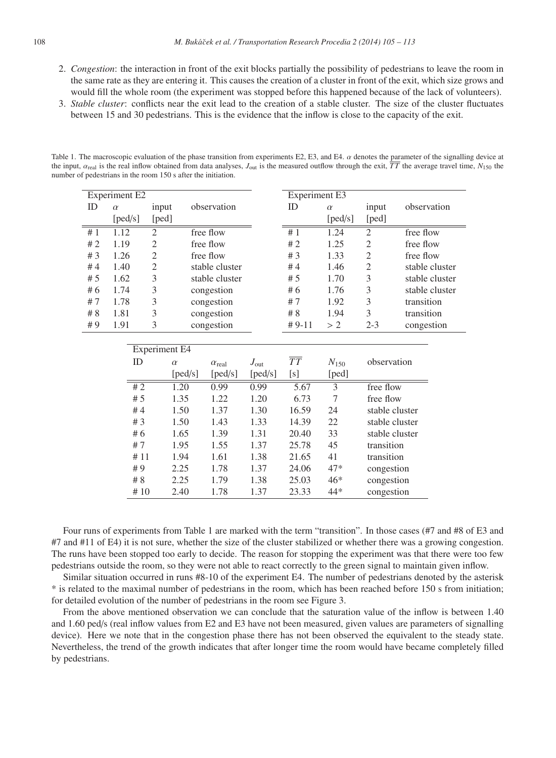- 2. *Congestion*: the interaction in front of the exit blocks partially the possibility of pedestrians to leave the room in the same rate as they are entering it. This causes the creation of a cluster in front of the exit, which size grows and would fill the whole room (the experiment was stopped before this happened because of the lack of volunteers).
- 3. *Stable cluster*: conflicts near the exit lead to the creation of a stable cluster. The size of the cluster fluctuates between 15 and 30 pedestrians. This is the evidence that the inflow is close to the capacity of the exit.

Table 1. The macroscopic evaluation of the phase transition from experiments E2, E3, and E4.  $\alpha$  denotes the parameter of the signalling device at the input,  $\alpha_{\text{real}}$  is the real inflow obtained from data analyses,  $J_{\text{out}}$  is the measured outflow through the exit,  $\overline{TT}$  the average travel time,  $N_{150}$  the number of pedestrians in the room 150 s after the initiation.

| ID<br>observation<br>ID<br>observation<br>input<br>input<br>$\alpha$<br>$\alpha$<br>[ped/s]<br>[ped/s]<br>[ped]<br>[ped]<br>#1<br>#1<br>$\mathfrak{2}$<br>1.12<br>$\mathfrak{2}$<br>free flow<br>1.24<br>free flow<br>$\mathfrak{2}$<br>$\sqrt{2}$<br>#2<br>1.19<br>free flow<br>#2<br>1.25<br>free flow<br>$\overline{c}$<br>$\overline{2}$<br>#3<br>1.26<br>free flow<br>#3<br>1.33<br>free flow<br>$\overline{c}$<br>$\overline{c}$<br>1.40<br>stable cluster<br>#4<br>1.46<br>stable cluster<br>#4<br>3<br>$\mathfrak{Z}$<br>1.62<br>stable cluster<br>#5<br>1.70<br>stable cluster<br>#5<br>3<br>3<br>#6<br>1.74<br>#6<br>1.76<br>stable cluster<br>congestion<br>3<br>3<br>1.78<br>congestion<br>transition<br>#7<br>#7<br>1.92<br>3<br>3<br># 8<br>1.81<br>congestion<br># 8<br>1.94<br>transition<br>3<br>#9<br>1.91<br>congestion<br>$# 9-11$<br>$2 - 3$<br>>2<br>congestion<br><b>Experiment E4</b><br>$\overline{TT}$<br>observation<br>ID<br>$N_{150}$<br>$J_{\rm out}$<br>$\alpha$<br>$\alpha_{\rm real}$ | <b>Experiment E2</b> |  |  |         |         |         | <b>Experiment E3</b> |       |  |  |
|------------------------------------------------------------------------------------------------------------------------------------------------------------------------------------------------------------------------------------------------------------------------------------------------------------------------------------------------------------------------------------------------------------------------------------------------------------------------------------------------------------------------------------------------------------------------------------------------------------------------------------------------------------------------------------------------------------------------------------------------------------------------------------------------------------------------------------------------------------------------------------------------------------------------------------------------------------------------------------------------------------------------|----------------------|--|--|---------|---------|---------|----------------------|-------|--|--|
|                                                                                                                                                                                                                                                                                                                                                                                                                                                                                                                                                                                                                                                                                                                                                                                                                                                                                                                                                                                                                        |                      |  |  |         |         |         |                      |       |  |  |
|                                                                                                                                                                                                                                                                                                                                                                                                                                                                                                                                                                                                                                                                                                                                                                                                                                                                                                                                                                                                                        |                      |  |  |         |         |         |                      |       |  |  |
|                                                                                                                                                                                                                                                                                                                                                                                                                                                                                                                                                                                                                                                                                                                                                                                                                                                                                                                                                                                                                        |                      |  |  |         |         |         |                      |       |  |  |
|                                                                                                                                                                                                                                                                                                                                                                                                                                                                                                                                                                                                                                                                                                                                                                                                                                                                                                                                                                                                                        |                      |  |  |         |         |         |                      |       |  |  |
|                                                                                                                                                                                                                                                                                                                                                                                                                                                                                                                                                                                                                                                                                                                                                                                                                                                                                                                                                                                                                        |                      |  |  |         |         |         |                      |       |  |  |
|                                                                                                                                                                                                                                                                                                                                                                                                                                                                                                                                                                                                                                                                                                                                                                                                                                                                                                                                                                                                                        |                      |  |  |         |         |         |                      |       |  |  |
|                                                                                                                                                                                                                                                                                                                                                                                                                                                                                                                                                                                                                                                                                                                                                                                                                                                                                                                                                                                                                        |                      |  |  |         |         |         |                      |       |  |  |
|                                                                                                                                                                                                                                                                                                                                                                                                                                                                                                                                                                                                                                                                                                                                                                                                                                                                                                                                                                                                                        |                      |  |  |         |         |         |                      |       |  |  |
|                                                                                                                                                                                                                                                                                                                                                                                                                                                                                                                                                                                                                                                                                                                                                                                                                                                                                                                                                                                                                        |                      |  |  |         |         |         |                      |       |  |  |
|                                                                                                                                                                                                                                                                                                                                                                                                                                                                                                                                                                                                                                                                                                                                                                                                                                                                                                                                                                                                                        |                      |  |  |         |         |         |                      |       |  |  |
|                                                                                                                                                                                                                                                                                                                                                                                                                                                                                                                                                                                                                                                                                                                                                                                                                                                                                                                                                                                                                        |                      |  |  |         |         |         |                      |       |  |  |
|                                                                                                                                                                                                                                                                                                                                                                                                                                                                                                                                                                                                                                                                                                                                                                                                                                                                                                                                                                                                                        |                      |  |  |         |         |         |                      |       |  |  |
|                                                                                                                                                                                                                                                                                                                                                                                                                                                                                                                                                                                                                                                                                                                                                                                                                                                                                                                                                                                                                        |                      |  |  |         |         |         |                      |       |  |  |
|                                                                                                                                                                                                                                                                                                                                                                                                                                                                                                                                                                                                                                                                                                                                                                                                                                                                                                                                                                                                                        |                      |  |  |         |         |         |                      |       |  |  |
|                                                                                                                                                                                                                                                                                                                                                                                                                                                                                                                                                                                                                                                                                                                                                                                                                                                                                                                                                                                                                        |                      |  |  | [ped/s] | [ped/s] | [ped/s] | [s]                  | [ped] |  |  |
| #2<br>$\overline{3}$<br>1.20<br>0.99<br>0.99<br>5.67<br>free flow                                                                                                                                                                                                                                                                                                                                                                                                                                                                                                                                                                                                                                                                                                                                                                                                                                                                                                                                                      |                      |  |  |         |         |         |                      |       |  |  |
| 7<br># 5<br>1.35<br>1.22<br>1.20<br>6.73<br>free flow                                                                                                                                                                                                                                                                                                                                                                                                                                                                                                                                                                                                                                                                                                                                                                                                                                                                                                                                                                  |                      |  |  |         |         |         |                      |       |  |  |
| #4<br>1.50<br>1.37<br>1.30<br>16.59<br>24<br>stable cluster                                                                                                                                                                                                                                                                                                                                                                                                                                                                                                                                                                                                                                                                                                                                                                                                                                                                                                                                                            |                      |  |  |         |         |         |                      |       |  |  |
| # $3$<br>1.43<br>1.50<br>1.33<br>14.39<br>22<br>stable cluster                                                                                                                                                                                                                                                                                                                                                                                                                                                                                                                                                                                                                                                                                                                                                                                                                                                                                                                                                         |                      |  |  |         |         |         |                      |       |  |  |
| #6<br>1.31<br>33<br>1.65<br>1.39<br>20.40<br>stable cluster                                                                                                                                                                                                                                                                                                                                                                                                                                                                                                                                                                                                                                                                                                                                                                                                                                                                                                                                                            |                      |  |  |         |         |         |                      |       |  |  |
| #7<br>1.95<br>1.55<br>1.37<br>25.78<br>45<br>transition                                                                                                                                                                                                                                                                                                                                                                                                                                                                                                                                                                                                                                                                                                                                                                                                                                                                                                                                                                |                      |  |  |         |         |         |                      |       |  |  |
| 1.61<br>41<br>transition<br>#11<br>1.94<br>1.38<br>21.65                                                                                                                                                                                                                                                                                                                                                                                                                                                                                                                                                                                                                                                                                                                                                                                                                                                                                                                                                               |                      |  |  |         |         |         |                      |       |  |  |
| 47*<br>#9<br>2.25<br>1.78<br>24.06<br>1.37<br>congestion                                                                                                                                                                                                                                                                                                                                                                                                                                                                                                                                                                                                                                                                                                                                                                                                                                                                                                                                                               |                      |  |  |         |         |         |                      |       |  |  |
| $46*$<br># 8<br>2.25<br>1.79<br>1.38<br>25.03<br>congestion                                                                                                                                                                                                                                                                                                                                                                                                                                                                                                                                                                                                                                                                                                                                                                                                                                                                                                                                                            |                      |  |  |         |         |         |                      |       |  |  |
| 2.40<br>1.78<br>44*<br>#10<br>1.37<br>23.33<br>congestion                                                                                                                                                                                                                                                                                                                                                                                                                                                                                                                                                                                                                                                                                                                                                                                                                                                                                                                                                              |                      |  |  |         |         |         |                      |       |  |  |

Four runs of experiments from Table 1 are marked with the term "transition". In those cases (#7 and #8 of E3 and #7 and #11 of E4) it is not sure, whether the size of the cluster stabilized or whether there was a growing congestion. The runs have been stopped too early to decide. The reason for stopping the experiment was that there were too few pedestrians outside the room, so they were not able to react correctly to the green signal to maintain given inflow.

Similar situation occurred in runs #8-10 of the experiment E4. The number of pedestrians denoted by the asterisk \* is related to the maximal number of pedestrians in the room, which has been reached before 150 s from initiation; for detailed evolution of the number of pedestrians in the room see Figure 3.

From the above mentioned observation we can conclude that the saturation value of the inflow is between 1.40 and 1.60 ped/s (real inflow values from E2 and E3 have not been measured, given values are parameters of signalling device). Here we note that in the congestion phase there has not been observed the equivalent to the steady state. Nevertheless, the trend of the growth indicates that after longer time the room would have became completely filled by pedestrians.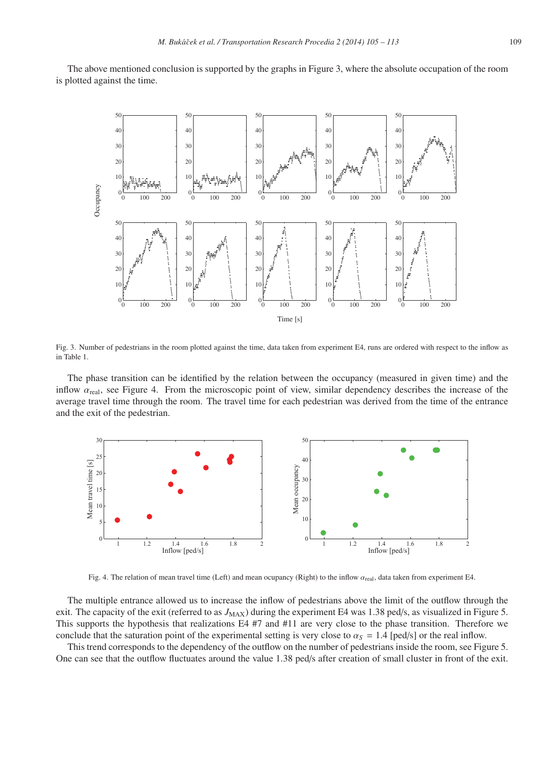The above mentioned conclusion is supported by the graphs in Figure 3, where the absolute occupation of the room is plotted against the time.



Fig. 3. Number of pedestrians in the room plotted against the time, data taken from experiment E4, runs are ordered with respect to the inflow as in Table 1.

The phase transition can be identified by the relation between the occupancy (measured in given time) and the inflow  $\alpha_{\text{real}}$ , see Figure 4. From the microscopic point of view, similar dependency describes the increase of the average travel time through the room. The travel time for each pedestrian was derived from the time of the entrance and the exit of the pedestrian.



Fig. 4. The relation of mean travel time (Left) and mean ocupancy (Right) to the inflow  $\alpha_{\text{real}}$ , data taken from experiment E4.

The multiple entrance allowed us to increase the inflow of pedestrians above the limit of the outflow through the exit. The capacity of the exit (referred to as  $J_{\text{MAX}}$ ) during the experiment E4 was 1.38 ped/s, as visualized in Figure 5. This supports the hypothesis that realizations E4 #7 and #11 are very close to the phase transition. Therefore we conclude that the saturation point of the experimental setting is very close to  $\alpha_s = 1.4$  [ped/s] or the real inflow.

This trend corresponds to the dependency of the outflow on the number of pedestrians inside the room, see Figure 5. One can see that the outflow fluctuates around the value 1.38 ped/s after creation of small cluster in front of the exit.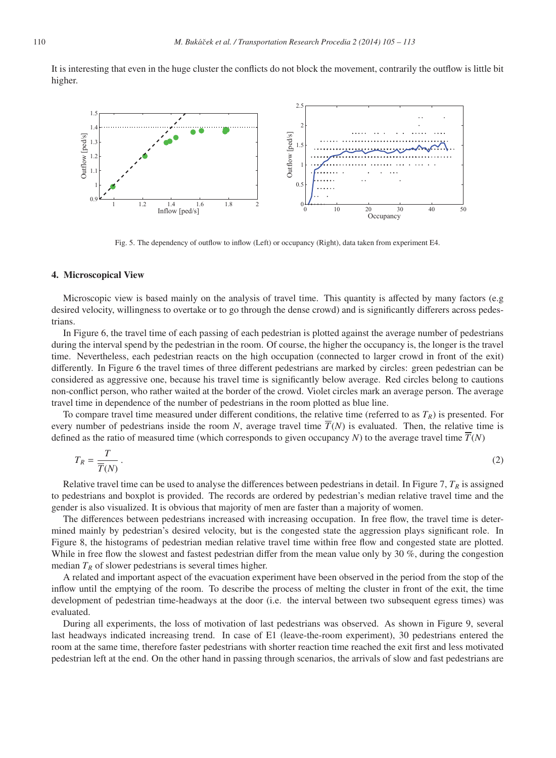It is interesting that even in the huge cluster the conflicts do not block the movement, contrarily the outflow is little bit higher.



Fig. 5. The dependency of outflow to inflow (Left) or occupancy (Right), data taken from experiment E4.

#### 4. Microscopical View

Microscopic view is based mainly on the analysis of travel time. This quantity is affected by many factors (e.g desired velocity, willingness to overtake or to go through the dense crowd) and is significantly differers across pedestrians.

In Figure 6, the travel time of each passing of each pedestrian is plotted against the average number of pedestrians during the interval spend by the pedestrian in the room. Of course, the higher the occupancy is, the longer is the travel time. Nevertheless, each pedestrian reacts on the high occupation (connected to larger crowd in front of the exit) differently. In Figure 6 the travel times of three different pedestrians are marked by circles: green pedestrian can be considered as aggressive one, because his travel time is significantly below average. Red circles belong to cautions non-conflict person, who rather waited at the border of the crowd. Violet circles mark an average person. The average travel time in dependence of the number of pedestrians in the room plotted as blue line.

To compare travel time measured under different conditions, the relative time (referred to as  $T_R$ ) is presented. For every number of pedestrians inside the room *N*, average travel time  $\overline{T}(N)$  is evaluated. Then, the relative time is defined as the ratio of measured time (which corresponds to given occupancy *N*) to the average travel time  $\overline{T}(N)$ 

$$
T_R = \frac{T}{\overline{T}(N)}\,. \tag{2}
$$

Relative travel time can be used to analyse the differences between pedestrians in detail. In Figure 7,  $T_R$  is assigned to pedestrians and boxplot is provided. The records are ordered by pedestrian's median relative travel time and the gender is also visualized. It is obvious that majority of men are faster than a majority of women.

The differences between pedestrians increased with increasing occupation. In free flow, the travel time is determined mainly by pedestrian's desired velocity, but is the congested state the aggression plays significant role. In Figure 8, the histograms of pedestrian median relative travel time within free flow and congested state are plotted. While in free flow the slowest and fastest pedestrian differ from the mean value only by 30 %, during the congestion median  $T_R$  of slower pedestrians is several times higher.

A related and important aspect of the evacuation experiment have been observed in the period from the stop of the inflow until the emptying of the room. To describe the process of melting the cluster in front of the exit, the time development of pedestrian time-headways at the door (i.e. the interval between two subsequent egress times) was evaluated.

During all experiments, the loss of motivation of last pedestrians was observed. As shown in Figure 9, several last headways indicated increasing trend. In case of E1 (leave-the-room experiment), 30 pedestrians entered the room at the same time, therefore faster pedestrians with shorter reaction time reached the exit first and less motivated pedestrian left at the end. On the other hand in passing through scenarios, the arrivals of slow and fast pedestrians are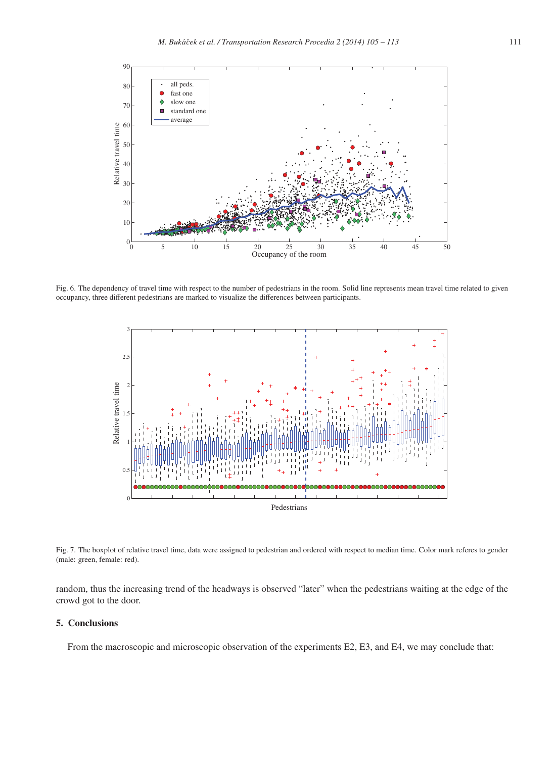

Fig. 6. The dependency of travel time with respect to the number of pedestrians in the room. Solid line represents mean travel time related to given occupancy, three different pedestrians are marked to visualize the differences between participants.



Fig. 7. The boxplot of relative travel time, data were assigned to pedestrian and ordered with respect to median time. Color mark referes to gender (male: green, female: red).

random, thus the increasing trend of the headways is observed "later" when the pedestrians waiting at the edge of the crowd got to the door.

## 5. Conclusions

From the macroscopic and microscopic observation of the experiments E2, E3, and E4, we may conclude that: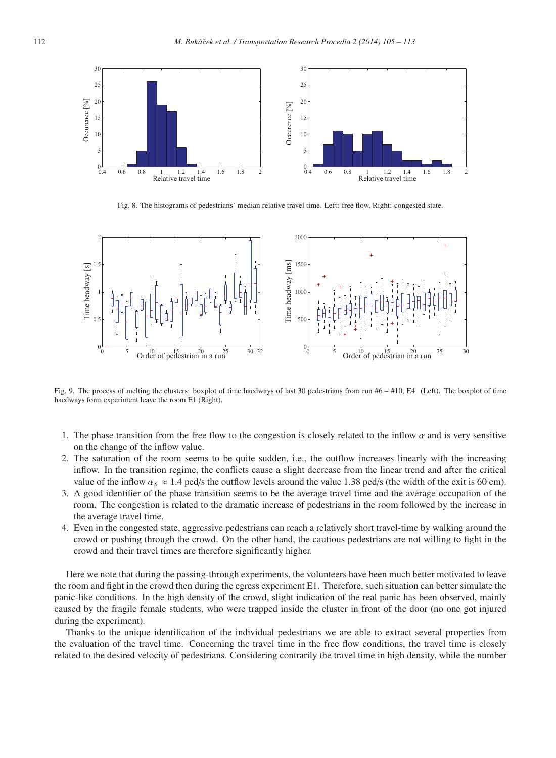

Fig. 8. The histograms of pedestrians' median relative travel time. Left: free flow, Right: congested state.



Fig. 9. The process of melting the clusters: boxplot of time haedways of last 30 pedestrians from run #6 – #10, E4. (Left). The boxplot of time haedways form experiment leave the room E1 (Right).

- 1. The phase transition from the free flow to the congestion is closely related to the inflow  $\alpha$  and is very sensitive on the change of the inflow value.
- 2. The saturation of the room seems to be quite sudden, i.e., the outflow increases linearly with the increasing inflow. In the transition regime, the conflicts cause a slight decrease from the linear trend and after the critical value of the inflow  $\alpha_s \approx 1.4$  ped/s the outflow levels around the value 1.38 ped/s (the width of the exit is 60 cm).
- 3. A good identifier of the phase transition seems to be the average travel time and the average occupation of the room. The congestion is related to the dramatic increase of pedestrians in the room followed by the increase in the average travel time.
- 4. Even in the congested state, aggressive pedestrians can reach a relatively short travel-time by walking around the crowd or pushing through the crowd. On the other hand, the cautious pedestrians are not willing to fight in the crowd and their travel times are therefore significantly higher.

Here we note that during the passing-through experiments, the volunteers have been much better motivated to leave the room and fight in the crowd then during the egress experiment E1. Therefore, such situation can better simulate the panic-like conditions. In the high density of the crowd, slight indication of the real panic has been observed, mainly caused by the fragile female students, who were trapped inside the cluster in front of the door (no one got injured during the experiment).

Thanks to the unique identification of the individual pedestrians we are able to extract several properties from the evaluation of the travel time. Concerning the travel time in the free flow conditions, the travel time is closely related to the desired velocity of pedestrians. Considering contrarily the travel time in high density, while the number